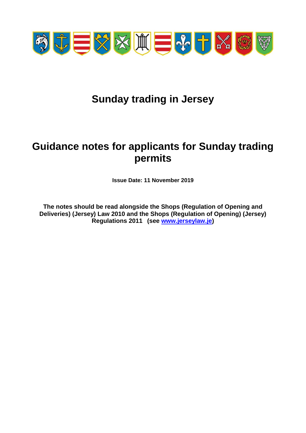

# **Sunday trading in Jersey**

# **Guidance notes for applicants for Sunday trading permits**

**Issue Date: 11 November 2019**

**The notes should be read alongside the Shops (Regulation of Opening and Deliveries) (Jersey) Law 2010 and the Shops (Regulation of Opening) (Jersey) Regulations 2011 (see [www.jerseylaw.je\)](http://www.jerseylaw.je/)**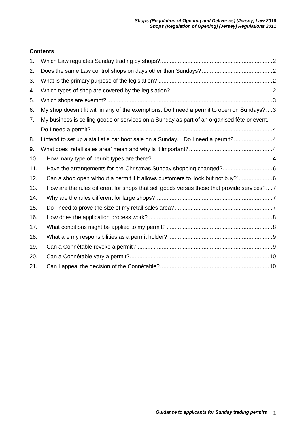# **Contents**

| 1.  |                                                                                             |
|-----|---------------------------------------------------------------------------------------------|
| 2.  |                                                                                             |
| 3.  |                                                                                             |
| 4.  |                                                                                             |
| 5.  |                                                                                             |
| 6.  | My shop doesn't fit within any of the exemptions. Do I need a permit to open on Sundays?3   |
| 7.  | My business is selling goods or services on a Sunday as part of an organised fête or event. |
|     |                                                                                             |
| 8.  | I intend to set up a stall at a car boot sale on a Sunday. Do I need a permit?4             |
| 9.  |                                                                                             |
| 10. |                                                                                             |
| 11. | Have the arrangements for pre-Christmas Sunday shopping changed?6                           |
| 12. | Can a shop open without a permit if it allows customers to 'look but not buy?'6             |
| 13. | How are the rules different for shops that sell goods versus those that provide services?7  |
| 14. |                                                                                             |
| 15. |                                                                                             |
| 16. |                                                                                             |
| 17. |                                                                                             |
| 18. |                                                                                             |
| 19. |                                                                                             |
| 20. |                                                                                             |
| 21. |                                                                                             |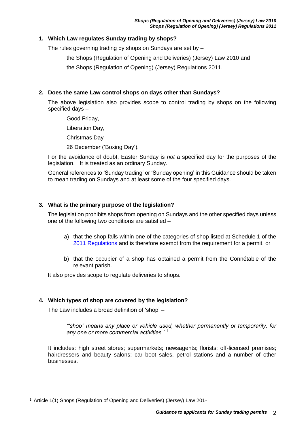# <span id="page-2-0"></span>**1. Which Law regulates Sunday trading by shops?**

The rules governing trading by shops on Sundays are set by –

the Shops (Regulation of Opening and Deliveries) (Jersey) Law 2010 and

the Shops (Regulation of Opening) (Jersey) Regulations 2011.

# <span id="page-2-1"></span>**2. Does the same Law control shops on days other than Sundays?**

The above legislation also provides scope to control trading by shops on the following specified days –

Good Friday,

Liberation Day,

Christmas Day

26 December ('Boxing Day').

For the avoidance of doubt, Easter Sunday is *not* a specified day for the purposes of the legislation. It is treated as an ordinary Sunday.

General references to 'Sunday trading' or 'Sunday opening' in this Guidance should be taken to mean trading on Sundays and at least some of the four specified days.

# <span id="page-2-2"></span>**3. What is the primary purpose of the legislation?**

The legislation prohibits shops from opening on Sundays and the other specified days unless one of the following two conditions are satisfied –

- a) that the shop falls within one of the categories of shop listed at Schedule 1 of the [2011 Regulations](https://www.jerseylaw.je/laws/revised/Pages/05.775.50.aspx) and is therefore exempt from the requirement for a permit, or
- b) that the occupier of a shop has obtained a permit from the Connétable of the relevant parish.

It also provides scope to regulate deliveries to shops.

# <span id="page-2-3"></span>**4. Which types of shop are covered by the legislation?**

The Law includes a broad definition of 'shop' –

*'"shop" means any place or vehicle used, whether permanently or temporarily, for any one or more commercial activities.'* <sup>1</sup>

It includes: high street stores; supermarkets; newsagents; florists; off-licensed premises; hairdressers and beauty salons; car boot sales, petrol stations and a number of other businesses.

 $\overline{a}$ <sup>1</sup> Article 1(1) Shops (Regulation of Opening and Deliveries) (Jersey) Law 201-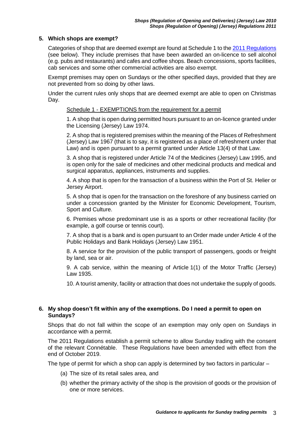# <span id="page-3-0"></span>**5. Which shops are exempt?**

Categories of shop that are deemed exempt are found at Schedule 1 to the [2011 Regulations](https://www.jerseylaw.je/laws/unofficialconsolidated/Pages/05.775.50.aspx) (see below). They include premises that have been awarded an on-licence to sell alcohol (e.g. pubs and restaurants) and cafes and coffee shops. Beach concessions, sports facilities, cab services and some other commercial activities are also exempt.

Exempt premises may open on Sundays or the other specified days, provided that they are not prevented from so doing by other laws.

Under the current rules only shops that are deemed exempt are able to open on Christmas Day.

#### Schedule 1 - EXEMPTIONS from the requirement for a permit

1. A shop that is open during permitted hours pursuant to an on-licence granted under the Licensing (Jersey) Law 1974.

2. A shop that is registered premises within the meaning of the Places of Refreshment (Jersey) Law 1967 (that is to say, it is registered as a place of refreshment under that Law) and is open pursuant to a permit granted under Article 13(4) of that Law.

3. A shop that is registered under Article 74 of the Medicines (Jersey) Law 1995, and is open only for the sale of medicines and other medicinal products and medical and surgical apparatus, appliances, instruments and supplies.

4. A shop that is open for the transaction of a business within the Port of St. Helier or Jersey Airport.

5. A shop that is open for the transaction on the foreshore of any business carried on under a concession granted by the Minister for Economic Development, Tourism, Sport and Culture.

6. Premises whose predominant use is as a sports or other recreational facility (for example, a golf course or tennis court).

7. A shop that is a bank and is open pursuant to an Order made under Article 4 of the Public Holidays and Bank Holidays (Jersey) Law 1951.

8. A service for the provision of the public transport of passengers, goods or freight by land, sea or air.

9. A cab service, within the meaning of Article 1(1) of the Motor Traffic (Jersey) Law 1935.

10. A tourist amenity, facility or attraction that does not undertake the supply of goods.

#### <span id="page-3-1"></span>**6. My shop doesn't fit within any of the exemptions. Do I need a permit to open on Sundays?**

Shops that do not fall within the scope of an exemption may only open on Sundays in accordance with a permit.

The 2011 Regulations establish a permit scheme to allow Sunday trading with the consent of the relevant Connétable. These Regulations have been amended with effect from the end of October 2019.

The type of permit for which a shop can apply is determined by two factors in particular –

- (a) The size of its retail sales area, and
- (b) whether the primary activity of the shop is the provision of goods or the provision of one or more services.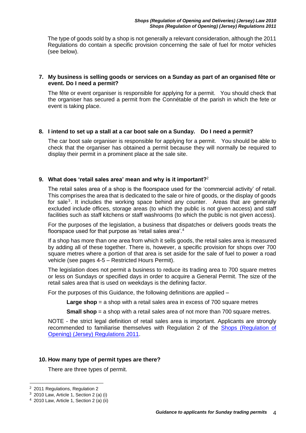The type of goods sold by a shop is not generally a relevant consideration, although the 2011 Regulations do contain a specific provision concerning the sale of fuel for motor vehicles (see below).

#### <span id="page-4-0"></span>**7. My business is selling goods or services on a Sunday as part of an organised fête or event. Do I need a permit?**

The fête or event organiser is responsible for applying for a permit. You should check that the organiser has secured a permit from the Connétable of the parish in which the fete or event is taking place.

#### <span id="page-4-1"></span>**8. I intend to set up a stall at a car boot sale on a Sunday. Do I need a permit?**

The car boot sale organiser is responsible for applying for a permit. You should be able to check that the organiser has obtained a permit because they will normally be required to display their permit in a prominent place at the sale site.

# <span id="page-4-2"></span>**9. What does 'retail sales area' mean and why is it important?**<sup>2</sup>

The retail sales area of a shop is the floorspace used for the 'commercial activity' of retail. This comprises the area that is dedicated to the sale or hire of goods, or the display of goods for sale<sup>3</sup>. It includes the working space behind any counter. Areas that are generally excluded include offices, storage areas (to which the public is not given access) and staff facilities such as staff kitchens or staff washrooms (to which the public is not given access).

For the purposes of the legislation, a business that dispatches or delivers goods treats the floorspace used for that purpose as 'retail sales area'.<sup>4</sup>

If a shop has more than one area from which it sells goods, the retail sales area is measured by adding all of these together. There is, however, a specific provision for shops over 700 square metres where a portion of that area is set aside for the sale of fuel to power a road vehicle (see pages 4-5 – Restricted Hours Permit).

The legislation does not permit a business to reduce its trading area to 700 square metres or less on Sundays or specified days in order to acquire a General Permit. The size of the retail sales area that is used on weekdays is the defining factor.

For the purposes of this Guidance, the following definitions are applied –

**Large shop** = a shop with a retail sales area in excess of 700 square metres

**Small shop** = a shop with a retail sales area of not more than 700 square metres.

NOTE - the strict legal definition of retail sales area is important. Applicants are strongly recommended to familiarise themselves with Regulation 2 of the [Shops \(Regulation of](https://www.jerseylaw.je/laws/revised/Pages/05.775.50.aspx)  [Opening\) \(Jersey\) Regulations 2011.](https://www.jerseylaw.je/laws/revised/Pages/05.775.50.aspx)

# <span id="page-4-3"></span>**10. How many type of permit types are there?**

There are three types of permit.

<sup>2</sup> 2011 Regulations, Regulation 2

 $3$  2010 Law, Article 1, Section 2 (a) (i)

 $4$  2010 Law, Article 1, Section 2 (a) (ii)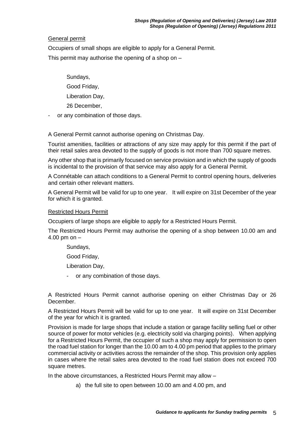# General permit

Occupiers of small shops are eligible to apply for a General Permit.

This permit may authorise the opening of a shop on  $-$ 

Sundays,

Good Friday,

Liberation Day,

26 December,

or any combination of those days.

A General Permit cannot authorise opening on Christmas Day.

Tourist amenities, facilities or attractions of any size may apply for this permit if the part of their retail sales area devoted to the supply of goods is not more than 700 square metres.

Any other shop that is primarily focused on service provision and in which the supply of goods is incidental to the provision of that service may also apply for a General Permit.

A Connétable can attach conditions to a General Permit to control opening hours, deliveries and certain other relevant matters.

A General Permit will be valid for up to one year. It will expire on 31st December of the year for which it is granted.

# Restricted Hours Permit

Occupiers of large shops are eligible to apply for a Restricted Hours Permit.

The Restricted Hours Permit may authorise the opening of a shop between 10.00 am and 4.00 pm on –

Sundays,

Good Friday,

Liberation Day,

- or any combination of those days.

A Restricted Hours Permit cannot authorise opening on either Christmas Day or 26 December.

A Restricted Hours Permit will be valid for up to one year. It will expire on 31st December of the year for which it is granted.

Provision is made for large shops that include a station or garage facility selling fuel or other source of power for motor vehicles (e.g. electricity sold via charging points). When applying for a Restricted Hours Permit, the occupier of such a shop may apply for permission to open the road fuel station for longer than the 10.00 am to 4.00 pm period that applies to the primary commercial activity or activities across the remainder of the shop. This provision only applies in cases where the retail sales area devoted to the road fuel station does not exceed 700 square metres.

In the above circumstances, a Restricted Hours Permit may allow –

a) the full site to open between 10.00 am and 4.00 pm, and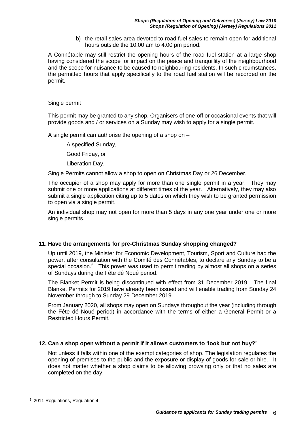b) the retail sales area devoted to road fuel sales to remain open for additional hours outside the 10.00 am to 4.00 pm period.

A Connétable may still restrict the opening hours of the road fuel station at a large shop having considered the scope for impact on the peace and tranquillity of the neighbourhood and the scope for nuisance to be caused to neighbouring residents. In such circumstances, the permitted hours that apply specifically to the road fuel station will be recorded on the permit.

#### Single permit

This permit may be granted to any shop. Organisers of one-off or occasional events that will provide goods and / or services on a Sunday may wish to apply for a single permit.

A single permit can authorise the opening of a shop on –

A specified Sunday,

Good Friday, or

Liberation Day.

Single Permits cannot allow a shop to open on Christmas Day or 26 December.

The occupier of a shop may apply for more than one single permit in a year. They may submit one or more applications at different times of the year. Alternatively, they may also submit a single application citing up to 5 dates on which they wish to be granted permission to open via a single permit.

An individual shop may not open for more than 5 days in any one year under one or more single permits.

# <span id="page-6-0"></span>**11. Have the arrangements for pre-Christmas Sunday shopping changed?**

Up until 2019, the Minister for Economic Development, Tourism, Sport and Culture had the power, after consultation with the Comité des Connétables, to declare any Sunday to be a special occasion.<sup>5</sup> This power was used to permit trading by almost all shops on a series of Sundays during the Fête dé Noué period.

The Blanket Permit is being discontinued with effect from 31 December 2019. The final Blanket Permits for 2019 have already been issued and will enable trading from Sunday 24 November through to Sunday 29 December 2019.

From January 2020, all shops may open on Sundays throughout the year (including through the Fête dé Noué period) in accordance with the terms of either a General Permit or a Restricted Hours Permit.

# <span id="page-6-1"></span>**12. Can a shop open without a permit if it allows customers to 'look but not buy?'**

Not unless it falls within one of the exempt categories of shop. The legislation regulates the opening of premises to the public and the exposure or display of goods for sale or hire. It does not matter whether a shop claims to be allowing browsing only or that no sales are completed on the day.

 $\overline{a}$ 

<sup>5</sup> 2011 Regulations, Regulation 4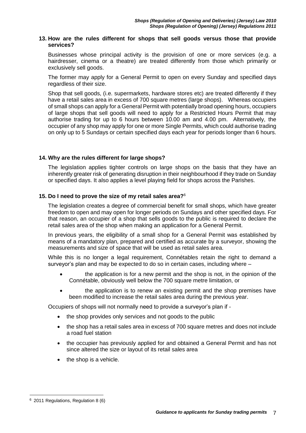#### <span id="page-7-0"></span>**13. How are the rules different for shops that sell goods versus those that provide services?**

Businesses whose principal activity is the provision of one or more services (e.g. a hairdresser, cinema or a theatre) are treated differently from those which primarily or exclusively sell goods.

The former may apply for a General Permit to open on every Sunday and specified days regardless of their size.

Shop that sell goods, (i.e. supermarkets, hardware stores etc) are treated differently if they have a retail sales area in excess of 700 square metres (large shops). Whereas occupiers of small shops can apply for a General Permit with potentially broad opening hours, occupiers of large shops that sell goods will need to apply for a Restricted Hours Permit that may authorise trading for up to 6 hours between 10.00 am and 4.00 pm. Alternatively, the occupier of any shop may apply for one or more Single Permits, which could authorise trading on only up to 5 Sundays or certain specified days each year for periods longer than 6 hours.

# <span id="page-7-1"></span>**14. Why are the rules different for large shops?**

The legislation applies tighter controls on large shops on the basis that they have an inherently greater risk of generating disruption in their neighbourhood if they trade on Sunday or specified days. It also applies a level playing field for shops across the Parishes.

#### <span id="page-7-2"></span>**15. Do I need to prove the size of my retail sales area?**<sup>6</sup>

The legislation creates a degree of commercial benefit for small shops, which have greater freedom to open and may open for longer periods on Sundays and other specified days. For that reason, an occupier of a shop that sells goods to the public is required to declare the retail sales area of the shop when making an application for a General Permit.

In previous years, the eligibility of a small shop for a General Permit was established by means of a mandatory plan, prepared and certified as accurate by a surveyor, showing the measurements and size of space that will be used as retail sales area.

While this is no longer a legal requirement, Connétables retain the right to demand a surveyor's plan and may be expected to do so in certain cases, including where –

- the application is for a new permit and the shop is not, in the opinion of the Connétable, obviously well below the 700 square metre limitation, or
- **the application is to renew an existing permit and the shop premises have** been modified to increase the retail sales area during the previous year.

Occupiers of shops will not normally need to provide a surveyor's plan if -

- the shop provides only services and not goods to the public
- the shop has a retail sales area in excess of 700 square metres and does not include a road fuel station
- the occupier has previously applied for and obtained a General Permit and has not since altered the size or layout of its retail sales area
- $\bullet$  the shop is a vehicle.

 $\overline{a}$ 

<sup>6</sup> 2011 Regulations, Regulation 8 (6)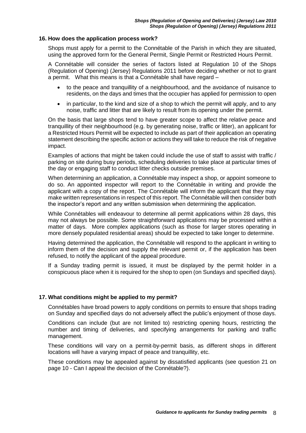#### <span id="page-8-0"></span>**16. How does the application process work?**

Shops must apply for a permit to the Connétable of the Parish in which they are situated, using the approved form for the General Permit, Single Permit or Restricted Hours Permit.

A Connétable will consider the series of factors listed at Regulation 10 of the Shops (Regulation of Opening) (Jersey) Regulations 2011 before deciding whether or not to grant a permit. What this means is that a Connétable shall have regard –

- to the peace and tranquillity of a neighbourhood, and the avoidance of nuisance to residents, on the days and times that the occupier has applied for permission to open
- in particular, to the kind and size of a shop to which the permit will apply, and to any noise, traffic and litter that are likely to result from its opening under the permit.

On the basis that large shops tend to have greater scope to affect the relative peace and tranquillity of their neighbourhood (e.g. by generating noise, traffic or litter), an applicant for a Restricted Hours Permit will be expected to include as part of their application an operating statement describing the specific action or actions they will take to reduce the risk of negative impact.

Examples of actions that might be taken could include the use of staff to assist with traffic / parking on site during busy periods, scheduling deliveries to take place at particular times of the day or engaging staff to conduct litter checks outside premises.

When determining an application, a Connétable may inspect a shop, or appoint someone to do so. An appointed inspector will report to the Connétable in writing and provide the applicant with a copy of the report. The Connétable will inform the applicant that they may make written representations in respect of this report. The Connétable will then consider both the inspector's report and any written submission when determining the application.

While Connétables will endeavour to determine all permit applications within 28 days, this may not always be possible. Some straightforward applications may be processed within a matter of days. More complex applications (such as those for larger stores operating in more densely populated residential areas) should be expected to take longer to determine.

Having determined the application, the Connétable will respond to the applicant in writing to inform them of the decision and supply the relevant permit or, if the application has been refused, to notify the applicant of the appeal procedure.

If a Sunday trading permit is issued, it must be displayed by the permit holder in a conspicuous place when it is required for the shop to open (on Sundays and specified days).

# <span id="page-8-1"></span>**17. What conditions might be applied to my permit?**

Connétables have broad powers to apply conditions on permits to ensure that shops trading on Sunday and specified days do not adversely affect the public's enjoyment of those days.

Conditions can include (but are not limited to) restricting opening hours, restricting the number and timing of deliveries, and specifying arrangements for parking and traffic management.

These conditions will vary on a permit-by-permit basis, as different shops in different locations will have a varying impact of peace and tranquillity, etc.

These conditions may be appealed against by dissatisfied applicants (see question 21 on page 10 - Can I appeal the decision of the Connétable?).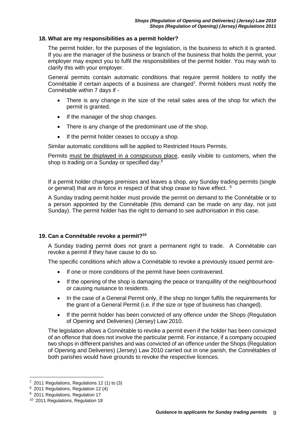#### <span id="page-9-0"></span>**18. What are my responsibilities as a permit holder?**

The permit holder, for the purposes of the legislation, is the business to which it is granted. If you are the manager of the business or branch of the business that holds the permit, your employer may expect you to fulfil the responsibilities of the permit holder. You may wish to clarify this with your employer.

General permits contain automatic conditions that require permit holders to notify the Connétable if certain aspects of a business are changed<sup>7</sup>. Permit holders must notify the Connétable within 7 days if -

- There is any change in the size of the retail sales area of the shop for which the permit is granted.
- If the manager of the shop changes.
- There is any change of the predominant use of the shop.
- If the permit holder ceases to occupy a shop.

Similar automatic conditions will be applied to Restricted Hours Permits.

Permits must be displayed in a conspicuous place, easily visible to customers, when the shop is trading on a Sunday or specified day.<sup>8</sup>

If a permit holder changes premises and leaves a shop, any Sunday trading permits (single or general) that are in force in respect of that shop cease to have effect. <sup>9</sup>

A Sunday trading permit holder must provide the permit on demand to the Connétable or to a person appointed by the Connétable (this demand can be made on any day, not just Sunday). The permit holder has the right to demand to see authorisation in this case.

# <span id="page-9-1"></span>**19. Can a Connétable revoke a permit?<sup>10</sup>**

A Sunday trading permit does not grant a permanent right to trade. A Connétable can revoke a permit if they have cause to do so.

The specific conditions which allow a Connétable to revoke a previously issued permit are-

- If one or more conditions of the permit have been contravened.
- If the opening of the shop is damaging the peace or tranquillity of the neighbourhood or causing nuisance to residents.
- In the case of a General Permit only, if the shop no longer fulfils the requirements for the grant of a General Permit (i.e. if the size or type of business has changed).
- If the permit holder has been convicted of any offence under the Shops (Regulation of Opening and Deliveries) (Jersey) Law 2010.

The legislation allows a Connétable to revoke a permit even if the holder has been convicted of an offence that does not involve the particular permit. For instance, if a company occupied two shops in different parishes and was convicted of an offence under the Shops (Regulation of Opening and Deliveries) (Jersey) Law 2010 carried out in one parish, the Connétables of both parishes would have grounds to revoke the respective licences.

<sup>7</sup> 2011 Regulations, Regulations 12 (1) to (3)

<sup>8</sup> 2011 Regulations, Regulation 12 (4)

<sup>&</sup>lt;sup>9</sup> 2011 Regulations, Regulation 17

<sup>10</sup> 2011 Regulations, Regulation 18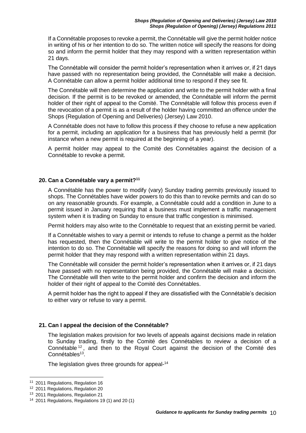If a Connétable proposes to revoke a permit, the Connétable will give the permit holder notice in writing of his or her intention to do so. The written notice will specify the reasons for doing so and inform the permit holder that they may respond with a written representation within 21 days.

The Connétable will consider the permit holder's representation when it arrives or, if 21 days have passed with no representation being provided, the Connétable will make a decision. A Connétable can allow a permit holder additional time to respond if they see fit.

The Connétable will then determine the application and write to the permit holder with a final decision. If the permit is to be revoked or amended, the Connétable will inform the permit holder of their right of appeal to the Comité. The Connétable will follow this process even if the revocation of a permit is as a result of the holder having committed an offence under the Shops (Regulation of Opening and Deliveries) (Jersey) Law 2010.

A Connétable does not have to follow this process if they choose to refuse a new application for a permit, including an application for a business that has previously held a permit (for instance when a new permit is required at the beginning of a year).

A permit holder may appeal to the Comité des Connétables against the decision of a Connétable to revoke a permit.

#### <span id="page-10-0"></span>**20. Can a Connétable vary a permit?<sup>11</sup>**

A Connétable has the power to modify (vary) Sunday trading permits previously issued to shops. The Connétables have wider powers to do this than to revoke permits and can do so on any reasonable grounds. For example, a Connétable could add a condition in June to a permit issued in January requiring that a business must implement a traffic management system when it is trading on Sunday to ensure that traffic congestion is minimised.

Permit holders may also write to the Connétable to request that an existing permit be varied.

If a Connétable wishes to vary a permit or intends to refuse to change a permit as the holder has requested, then the Connétable will write to the permit holder to give notice of the intention to do so. The Connétable will specify the reasons for doing so and will inform the permit holder that they may respond with a written representation within 21 days.

The Connétable will consider the permit holder's representation when it arrives or, if 21 days have passed with no representation being provided, the Connétable will make a decision. The Connétable will then write to the permit holder and confirm the decision and inform the holder of their right of appeal to the Comité des Connétables.

A permit holder has the right to appeal if they are dissatisfied with the Connétable's decision to either vary or refuse to vary a permit.

# <span id="page-10-1"></span>**21. Can I appeal the decision of the Connétable?**

The legislation makes provision for two levels of appeals against decisions made in relation to Sunday trading, firstly to the Comité des Connétables to review a decision of a Connétable <sup>12</sup> , and then to the Royal Court against the decision of the Comité des Connétables<sup>13</sup>.

The legislation gives three grounds for appeal-<sup>14</sup>

<sup>11</sup> 2011 Regulations, Regulation 16

<sup>12</sup> 2011 Regulations, Regulation 20

<sup>13</sup> 2011 Regulations, Regulation 21

<sup>14</sup> 2011 Regulations, Regulations 19 (1) and 20 (1)